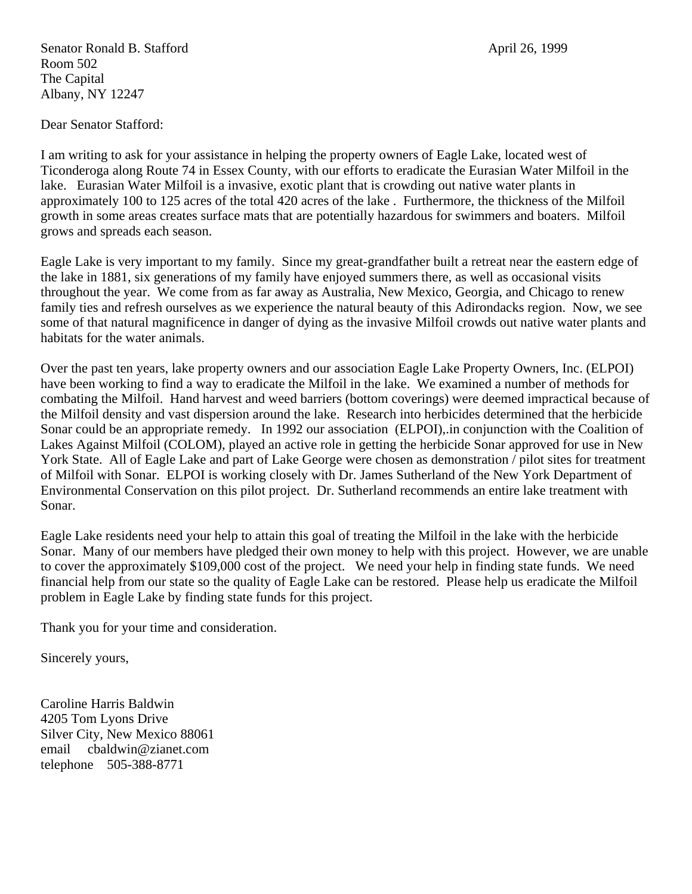Senator Ronald B. Stafford **April 26, 1999** Room 502 The Capital Albany, NY 12247

Dear Senator Stafford:

I am writing to ask for your assistance in helping the property owners of Eagle Lake, located west of Ticonderoga along Route 74 in Essex County, with our efforts to eradicate the Eurasian Water Milfoil in the lake. Eurasian Water Milfoil is a invasive, exotic plant that is crowding out native water plants in approximately 100 to 125 acres of the total 420 acres of the lake . Furthermore, the thickness of the Milfoil growth in some areas creates surface mats that are potentially hazardous for swimmers and boaters. Milfoil grows and spreads each season.

Eagle Lake is very important to my family. Since my great-grandfather built a retreat near the eastern edge of the lake in 1881, six generations of my family have enjoyed summers there, as well as occasional visits throughout the year. We come from as far away as Australia, New Mexico, Georgia, and Chicago to renew family ties and refresh ourselves as we experience the natural beauty of this Adirondacks region. Now, we see some of that natural magnificence in danger of dying as the invasive Milfoil crowds out native water plants and habitats for the water animals.

Over the past ten years, lake property owners and our association Eagle Lake Property Owners, Inc. (ELPOI) have been working to find a way to eradicate the Milfoil in the lake. We examined a number of methods for combating the Milfoil. Hand harvest and weed barriers (bottom coverings) were deemed impractical because of the Milfoil density and vast dispersion around the lake. Research into herbicides determined that the herbicide Sonar could be an appropriate remedy. In 1992 our association (ELPOI),.in conjunction with the Coalition of Lakes Against Milfoil (COLOM), played an active role in getting the herbicide Sonar approved for use in New York State. All of Eagle Lake and part of Lake George were chosen as demonstration / pilot sites for treatment of Milfoil with Sonar. ELPOI is working closely with Dr. James Sutherland of the New York Department of Environmental Conservation on this pilot project. Dr. Sutherland recommends an entire lake treatment with Sonar.

Eagle Lake residents need your help to attain this goal of treating the Milfoil in the lake with the herbicide Sonar. Many of our members have pledged their own money to help with this project. However, we are unable to cover the approximately \$109,000 cost of the project. We need your help in finding state funds. We need financial help from our state so the quality of Eagle Lake can be restored. Please help us eradicate the Milfoil problem in Eagle Lake by finding state funds for this project.

Thank you for your time and consideration.

Sincerely yours,

Caroline Harris Baldwin 4205 Tom Lyons Drive Silver City, New Mexico 88061 email cbaldwin@zianet.com telephone 505-388-8771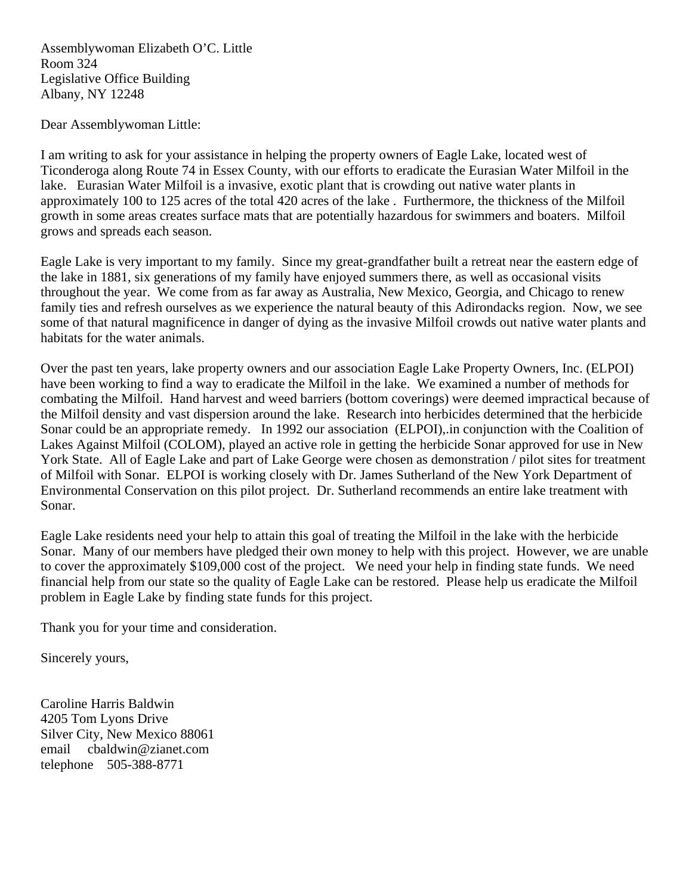Assemblywoman Elizabeth O'C. Little Room 324 Legislative Office Building Albany, NY 12248

Dear Assemblywoman Little:

I am writing to ask for your assistance in helping the property owners of Eagle Lake, located west of Ticonderoga along Route 74 in Essex County, with our efforts to eradicate the Eurasian Water Milfoil in the lake. Eurasian Water Milfoil is a invasive, exotic plant that is crowding out native water plants in approximately 100 to 125 acres of the total 420 acres of the lake . Furthermore, the thickness of the Milfoil growth in some areas creates surface mats that are potentially hazardous for swimmers and boaters. Milfoil grows and spreads each season.

Eagle Lake is very important to my family. Since my great-grandfather built a retreat near the eastern edge of the lake in 1881, six generations of my family have enjoyed summers there, as well as occasional visits throughout the year. We come from as far away as Australia, New Mexico, Georgia, and Chicago to renew family ties and refresh ourselves as we experience the natural beauty of this Adirondacks region. Now, we see some of that natural magnificence in danger of dying as the invasive Milfoil crowds out native water plants and habitats for the water animals.

Over the past ten years, lake property owners and our association Eagle Lake Property Owners, Inc. (ELPOI) have been working to find a way to eradicate the Milfoil in the lake. We examined a number of methods for combating the Milfoil. Hand harvest and weed barriers (bottom coverings) were deemed impractical because of the Milfoil density and vast dispersion around the lake. Research into herbicides determined that the herbicide Sonar could be an appropriate remedy. In 1992 our association (ELPOI),.in conjunction with the Coalition of Lakes Against Milfoil (COLOM), played an active role in getting the herbicide Sonar approved for use in New York State. All of Eagle Lake and part of Lake George were chosen as demonstration / pilot sites for treatment of Milfoil with Sonar. ELPOI is working closely with Dr. James Sutherland of the New York Department of Environmental Conservation on this pilot project. Dr. Sutherland recommends an entire lake treatment with Sonar.

Eagle Lake residents need your help to attain this goal of treating the Milfoil in the lake with the herbicide Sonar. Many of our members have pledged their own money to help with this project. However, we are unable to cover the approximately \$109,000 cost of the project. We need your help in finding state funds. We need financial help from our state so the quality of Eagle Lake can be restored. Please help us eradicate the Milfoil problem in Eagle Lake by finding state funds for this project.

Thank you for your time and consideration.

Sincerely yours,

Caroline Harris Baldwin 4205 Tom Lyons Drive Silver City, New Mexico 88061 email cbaldwin@zianet.com telephone 505-388-8771